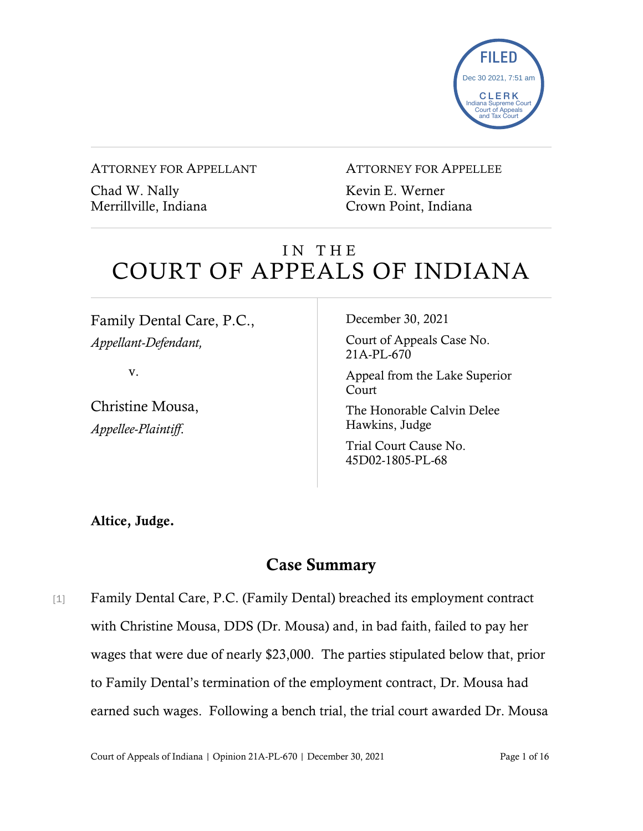

#### ATTORNEY FOR APPELLANT

Chad W. Nally Merrillville, Indiana

#### ATTORNEY FOR APPELLEE

Kevin E. Werner Crown Point, Indiana

# IN THE COURT OF APPEALS OF INDIANA

Family Dental Care, P.C., *Appellant-Defendant,*

v.

Christine Mousa, *Appellee-Plaintiff*.

December 30, 2021

Court of Appeals Case No. 21A-PL-670

Appeal from the Lake Superior Court

The Honorable Calvin Delee Hawkins, Judge

Trial Court Cause No. 45D02-1805-PL-68

Altice, Judge.

## Case Summary

[1] Family Dental Care, P.C. (Family Dental) breached its employment contract with Christine Mousa, DDS (Dr. Mousa) and, in bad faith, failed to pay her wages that were due of nearly \$23,000. The parties stipulated below that, prior to Family Dental's termination of the employment contract, Dr. Mousa had earned such wages. Following a bench trial, the trial court awarded Dr. Mousa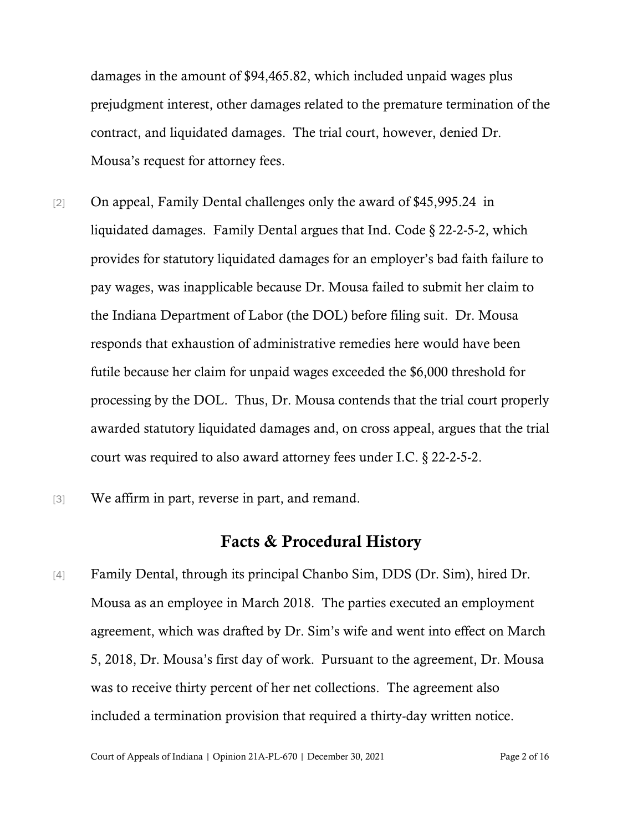damages in the amount of \$94,465.82, which included unpaid wages plus prejudgment interest, other damages related to the premature termination of the contract, and liquidated damages. The trial court, however, denied Dr. Mousa's request for attorney fees.

- [2] On appeal, Family Dental challenges only the award of \$45,995.24 in liquidated damages. Family Dental argues that Ind. Code § 22-2-5-2, which provides for statutory liquidated damages for an employer's bad faith failure to pay wages, was inapplicable because Dr. Mousa failed to submit her claim to the Indiana Department of Labor (the DOL) before filing suit. Dr. Mousa responds that exhaustion of administrative remedies here would have been futile because her claim for unpaid wages exceeded the \$6,000 threshold for processing by the DOL. Thus, Dr. Mousa contends that the trial court properly awarded statutory liquidated damages and, on cross appeal, argues that the trial court was required to also award attorney fees under I.C. § 22-2-5-2.
- [3] We affirm in part, reverse in part, and remand.

### Facts & Procedural History

[4] Family Dental, through its principal Chanbo Sim, DDS (Dr. Sim), hired Dr. Mousa as an employee in March 2018. The parties executed an employment agreement, which was drafted by Dr. Sim's wife and went into effect on March 5, 2018, Dr. Mousa's first day of work. Pursuant to the agreement, Dr. Mousa was to receive thirty percent of her net collections. The agreement also included a termination provision that required a thirty-day written notice.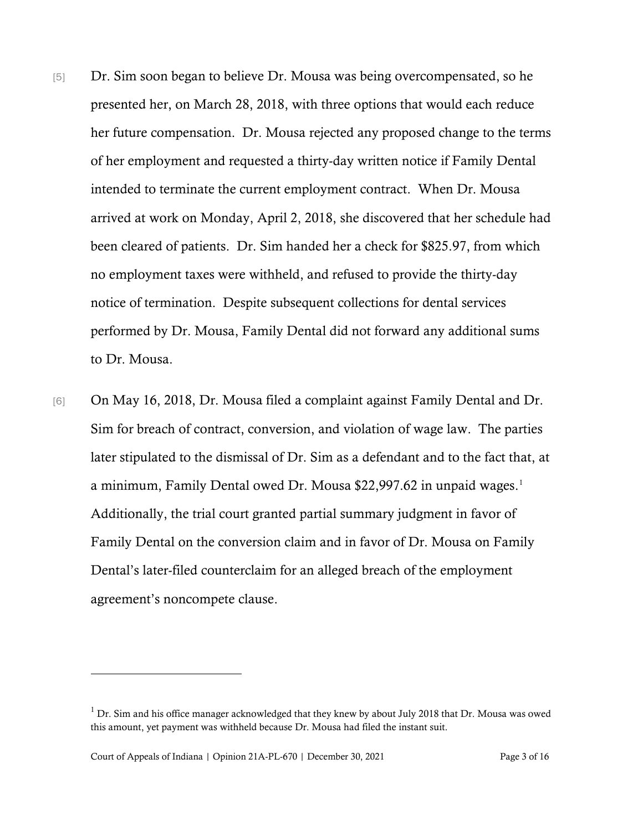- [5] Dr. Sim soon began to believe Dr. Mousa was being overcompensated, so he presented her, on March 28, 2018, with three options that would each reduce her future compensation. Dr. Mousa rejected any proposed change to the terms of her employment and requested a thirty-day written notice if Family Dental intended to terminate the current employment contract. When Dr. Mousa arrived at work on Monday, April 2, 2018, she discovered that her schedule had been cleared of patients. Dr. Sim handed her a check for \$825.97, from which no employment taxes were withheld, and refused to provide the thirty-day notice of termination. Despite subsequent collections for dental services performed by Dr. Mousa, Family Dental did not forward any additional sums to Dr. Mousa.
- [6] On May 16, 2018, Dr. Mousa filed a complaint against Family Dental and Dr. Sim for breach of contract, conversion, and violation of wage law. The parties later stipulated to the dismissal of Dr. Sim as a defendant and to the fact that, at a minimum, Family Dental owed Dr. Mousa \$22,997.62 in unpaid wages.<sup>[1](#page-2-0)</sup> Additionally, the trial court granted partial summary judgment in favor of Family Dental on the conversion claim and in favor of Dr. Mousa on Family Dental's later-filed counterclaim for an alleged breach of the employment agreement's noncompete clause.

<span id="page-2-0"></span> $1$  Dr. Sim and his office manager acknowledged that they knew by about July 2018 that Dr. Mousa was owed this amount, yet payment was withheld because Dr. Mousa had filed the instant suit.

Court of Appeals of Indiana | Opinion 21A-PL-670 | December 30, 2021 Page 3 of 16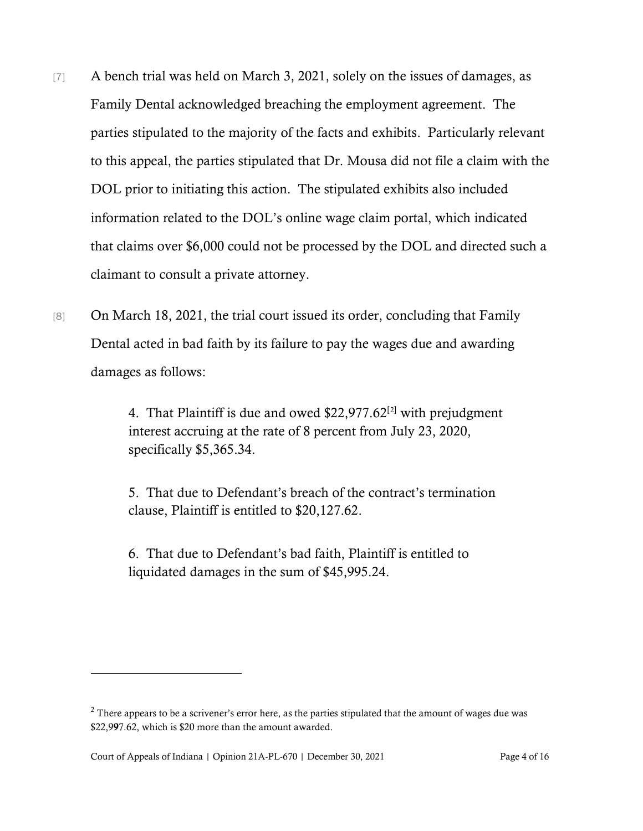- [7] A bench trial was held on March 3, 2021, solely on the issues of damages, as Family Dental acknowledged breaching the employment agreement. The parties stipulated to the majority of the facts and exhibits. Particularly relevant to this appeal, the parties stipulated that Dr. Mousa did not file a claim with the DOL prior to initiating this action. The stipulated exhibits also included information related to the DOL's online wage claim portal, which indicated that claims over \$6,000 could not be processed by the DOL and directed such a claimant to consult a private attorney.
- [8] On March 18, 2021, the trial court issued its order, concluding that Family Dental acted in bad faith by its failure to pay the wages due and awarding damages as follows:

4. That Plaintiff is due and owed \$22,977.62[[2](#page-3-0)] with prejudgment interest accruing at the rate of 8 percent from July 23, 2020, specifically \$5,365.34.

5. That due to Defendant's breach of the contract's termination clause, Plaintiff is entitled to \$20,127.62.

6. That due to Defendant's bad faith, Plaintiff is entitled to liquidated damages in the sum of \$45,995.24.

<span id="page-3-0"></span> $2$  There appears to be a scrivener's error here, as the parties stipulated that the amount of wages due was \$22,997.62, which is \$20 more than the amount awarded.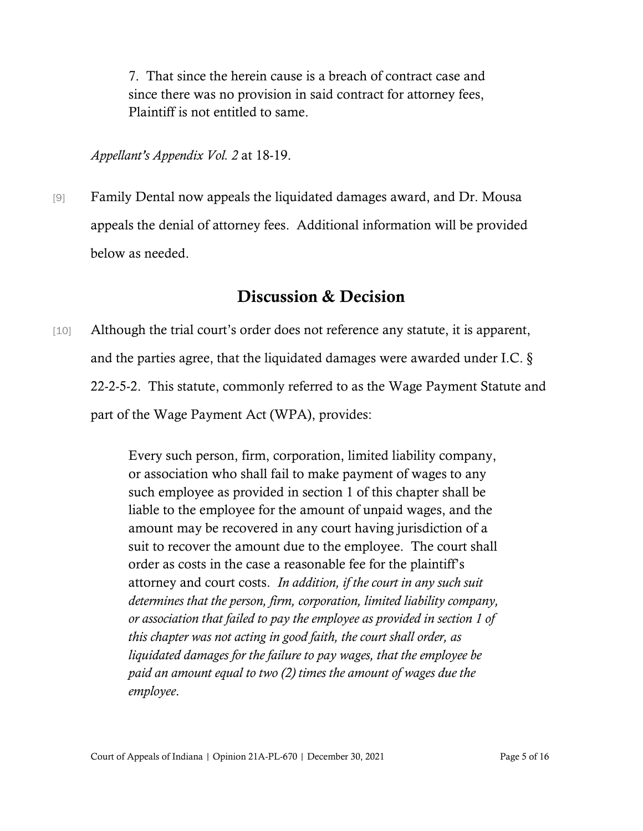7. That since the herein cause is a breach of contract case and since there was no provision in said contract for attorney fees, Plaintiff is not entitled to same.

*Appellant's Appendix Vol. 2* at 18-19.

[9] Family Dental now appeals the liquidated damages award, and Dr. Mousa appeals the denial of attorney fees. Additional information will be provided below as needed.

## Discussion & Decision

[10] Although the trial court's order does not reference any statute, it is apparent, and the parties agree, that the liquidated damages were awarded under I.C. § 22-2-5-2. This statute, commonly referred to as the Wage Payment Statute and part of the Wage Payment Act (WPA), provides:

> Every such person, firm, corporation, limited liability company, or association who shall fail to make payment of wages to any such employee as provided in section 1 of this chapter shall be liable to the employee for the amount of unpaid wages, and the amount may be recovered in any court having jurisdiction of a suit to recover the amount due to the employee. The court shall order as costs in the case a reasonable fee for the plaintiff's attorney and court costs. *In addition, if the court in any such suit determines that the person, firm, corporation, limited liability company, or association that failed to pay the employee as provided in section 1 of this chapter was not acting in good faith, the court shall order, as liquidated damages for the failure to pay wages, that the employee be paid an amount equal to two (2) times the amount of wages due the employee*.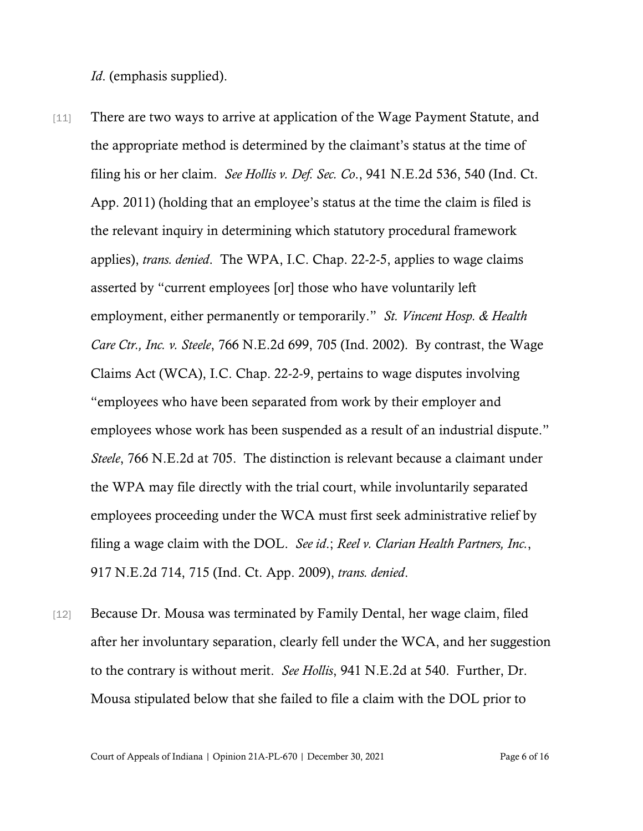*Id*. (emphasis supplied).

- [11] There are two ways to arrive at application of the Wage Payment Statute, and the appropriate method is determined by the claimant's status at the time of filing his or her claim. *See Hollis v. Def. Sec. Co*., 941 N.E.2d 536, 540 (Ind. Ct. App. 2011) (holding that an employee's status at the time the claim is filed is the relevant inquiry in determining which statutory procedural framework applies), *trans. denied*. The WPA, I.C. Chap. 22-2-5, applies to wage claims asserted by "current employees [or] those who have voluntarily left employment, either permanently or temporarily." *St. Vincent Hosp. & Health Care Ctr., Inc. v. Steele*, 766 N.E.2d 699, 705 (Ind. 2002). By contrast, the Wage Claims Act (WCA), I.C. Chap. 22-2-9, pertains to wage disputes involving "employees who have been separated from work by their employer and employees whose work has been suspended as a result of an industrial dispute." *Steele*, 766 N.E.2d at 705. The distinction is relevant because a claimant under the WPA may file directly with the trial court, while involuntarily separated employees proceeding under the WCA must first seek administrative relief by filing a wage claim with the DOL. *See id*.; *Reel v. Clarian Health Partners, Inc.*, 917 N.E.2d 714, 715 (Ind. Ct. App. 2009), *trans. denied*.
- [12] Because Dr. Mousa was terminated by Family Dental, her wage claim, filed after her involuntary separation, clearly fell under the WCA, and her suggestion to the contrary is without merit. *See Hollis*, 941 N.E.2d at 540. Further, Dr. Mousa stipulated below that she failed to file a claim with the DOL prior to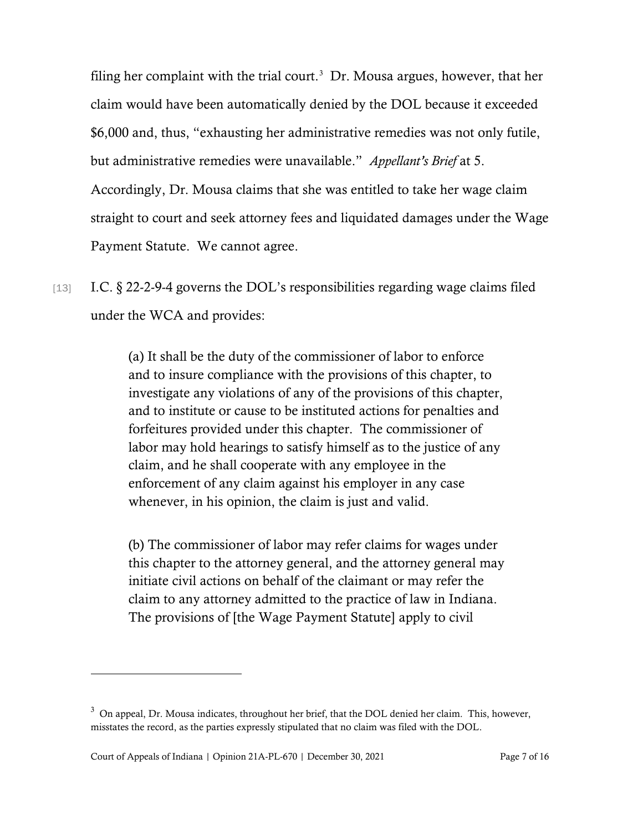filing her complaint with the trial court.<sup>[3](#page-6-0)</sup> Dr. Mousa argues, however, that her claim would have been automatically denied by the DOL because it exceeded \$6,000 and, thus, "exhausting her administrative remedies was not only futile, but administrative remedies were unavailable." *Appellant's Brief* at 5. Accordingly, Dr. Mousa claims that she was entitled to take her wage claim straight to court and seek attorney fees and liquidated damages under the Wage Payment Statute. We cannot agree.

[13] I.C. § 22-2-9-4 governs the DOL's responsibilities regarding wage claims filed under the WCA and provides:

> (a) It shall be the duty of the commissioner of labor to enforce and to insure compliance with the provisions of this chapter, to investigate any violations of any of the provisions of this chapter, and to institute or cause to be instituted actions for penalties and forfeitures provided under this chapter. The commissioner of labor may hold hearings to satisfy himself as to the justice of any claim, and he shall cooperate with any employee in the enforcement of any claim against his employer in any case whenever, in his opinion, the claim is just and valid.

> (b) The commissioner of labor may refer claims for wages under this chapter to the attorney general, and the attorney general may initiate civil actions on behalf of the claimant or may refer the claim to any attorney admitted to the practice of law in Indiana. The provisions of [the Wage Payment Statute] apply to civil

<span id="page-6-0"></span> $3$  On appeal, Dr. Mousa indicates, throughout her brief, that the DOL denied her claim. This, however, misstates the record, as the parties expressly stipulated that no claim was filed with the DOL.

Court of Appeals of Indiana | Opinion 21A-PL-670 | December 30, 2021 Page 7 of 16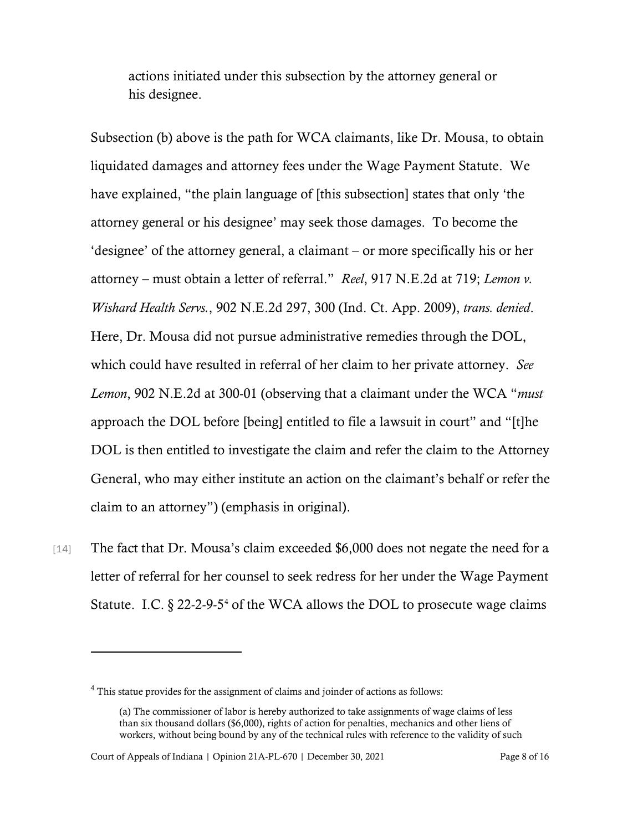actions initiated under this subsection by the attorney general or his designee.

Subsection (b) above is the path for WCA claimants, like Dr. Mousa, to obtain liquidated damages and attorney fees under the Wage Payment Statute. We have explained, "the plain language of [this subsection] states that only 'the attorney general or his designee' may seek those damages. To become the 'designee' of the attorney general, a claimant – or more specifically his or her attorney – must obtain a letter of referral." *Reel*, 917 N.E.2d at 719; *Lemon v. Wishard Health Servs.*, 902 N.E.2d 297, 300 (Ind. Ct. App. 2009), *trans. denied*. Here, Dr. Mousa did not pursue administrative remedies through the DOL, which could have resulted in referral of her claim to her private attorney. *See Lemon*, 902 N.E.2d at 300-01 (observing that a claimant under the WCA "*must* approach the DOL before [being] entitled to file a lawsuit in court" and "[t]he DOL is then entitled to investigate the claim and refer the claim to the Attorney General, who may either institute an action on the claimant's behalf or refer the claim to an attorney") (emphasis in original).

[14] The fact that Dr. Mousa's claim exceeded \$6,000 does not negate the need for a letter of referral for her counsel to seek redress for her under the Wage Payment Statute. I.C.  $\S 22$ -2-9-5<sup>[4](#page-7-0)</sup> of the WCA allows the DOL to prosecute wage claims

Court of Appeals of Indiana | Opinion 21A-PL-670 | December 30, 2021 Page 8 of 16

<span id="page-7-0"></span><sup>4</sup> This statue provides for the assignment of claims and joinder of actions as follows:

<sup>(</sup>a) The commissioner of labor is hereby authorized to take assignments of wage claims of less than six thousand dollars (\$6,000), rights of action for penalties, mechanics and other liens of workers, without being bound by any of the technical rules with reference to the validity of such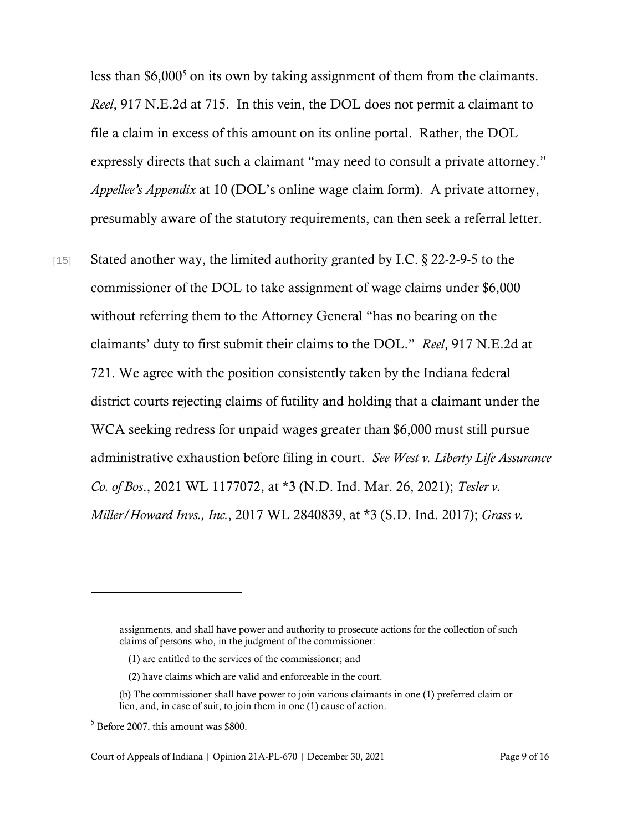less than \$6,000<sup>[5](#page-8-0)</sup> on its own by taking assignment of them from the claimants. *Reel*, 917 N.E.2d at 715. In this vein, the DOL does not permit a claimant to file a claim in excess of this amount on its online portal. Rather, the DOL expressly directs that such a claimant "may need to consult a private attorney." *Appellee's Appendix* at 10 (DOL's online wage claim form). A private attorney, presumably aware of the statutory requirements, can then seek a referral letter.

[15] Stated another way, the limited authority granted by I.C. § 22-2-9-5 to the commissioner of the DOL to take assignment of wage claims under \$6,000 without referring them to the Attorney General "has no bearing on the claimants' duty to first submit their claims to the DOL." *Reel*, 917 N.E.2d at 721. We agree with the position consistently taken by the Indiana federal district courts rejecting claims of futility and holding that a claimant under the WCA seeking redress for unpaid wages greater than \$6,000 must still pursue administrative exhaustion before filing in court. *See West v. Liberty Life Assurance Co. of Bos*., 2021 WL 1177072, at \*3 (N.D. Ind. Mar. 26, 2021); *Tesler v. Miller/Howard Invs., Inc.*, 2017 WL 2840839, at \*3 (S.D. Ind. 2017); *Grass v.* 

assignments, and shall have power and authority to prosecute actions for the collection of such claims of persons who, in the judgment of the commissioner:

<sup>(1)</sup> are entitled to the services of the commissioner; and

<sup>(2)</sup> have claims which are valid and enforceable in the court.

<sup>(</sup>b) The commissioner shall have power to join various claimants in one (1) preferred claim or lien, and, in case of suit, to join them in one (1) cause of action.

<span id="page-8-0"></span> $<sup>5</sup>$  Before 2007, this amount was \$800.</sup>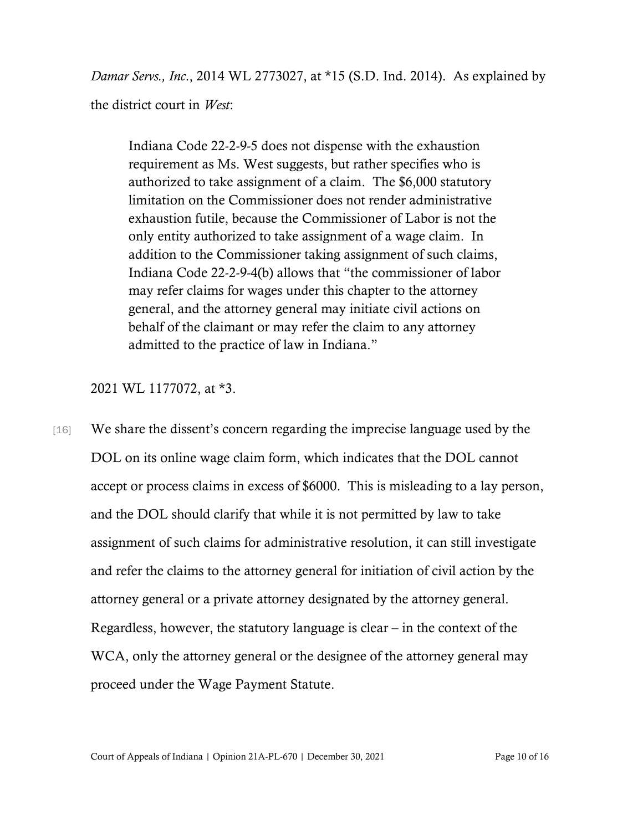*Damar Servs., Inc*., 2014 WL 2773027, at \*15 (S.D. Ind. 2014). As explained by the district court in *West*:

Indiana Code 22-2-9-5 does not dispense with the exhaustion requirement as Ms. West suggests, but rather specifies who is authorized to take assignment of a claim. The \$6,000 statutory limitation on the Commissioner does not render administrative exhaustion futile, because the Commissioner of Labor is not the only entity authorized to take assignment of a wage claim. In addition to the Commissioner taking assignment of such claims, Indiana Code 22-2-9-4(b) allows that "the commissioner of labor may refer claims for wages under this chapter to the attorney general, and the attorney general may initiate civil actions on behalf of the claimant or may refer the claim to any attorney admitted to the practice of law in Indiana."

2021 WL 1177072, at \*3.

[16] We share the dissent's concern regarding the imprecise language used by the DOL on its online wage claim form, which indicates that the DOL cannot accept or process claims in excess of \$6000. This is misleading to a lay person, and the DOL should clarify that while it is not permitted by law to take assignment of such claims for administrative resolution, it can still investigate and refer the claims to the attorney general for initiation of civil action by the attorney general or a private attorney designated by the attorney general. Regardless, however, the statutory language is clear – in the context of the WCA, only the attorney general or the designee of the attorney general may proceed under the Wage Payment Statute.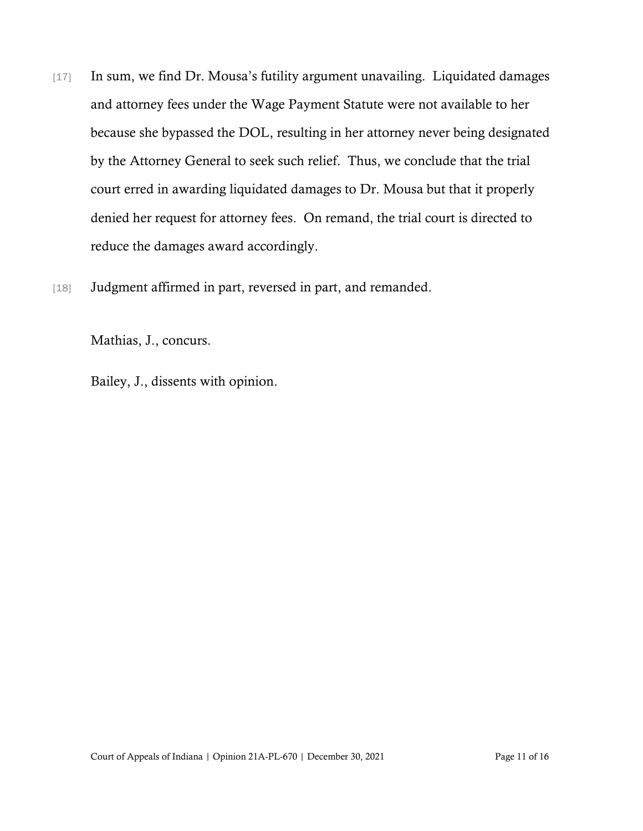- [17] In sum, we find Dr. Mousa's futility argument unavailing. Liquidated damages and attorney fees under the Wage Payment Statute were not available to her because she bypassed the DOL, resulting in her attorney never being designated by the Attorney General to seek such relief. Thus, we conclude that the trial court erred in awarding liquidated damages to Dr. Mousa but that it properly denied her request for attorney fees. On remand, the trial court is directed to reduce the damages award accordingly.
- [18] Judgment affirmed in part, reversed in part, and remanded.

Mathias, J., concurs.

Bailey, J., dissents with opinion.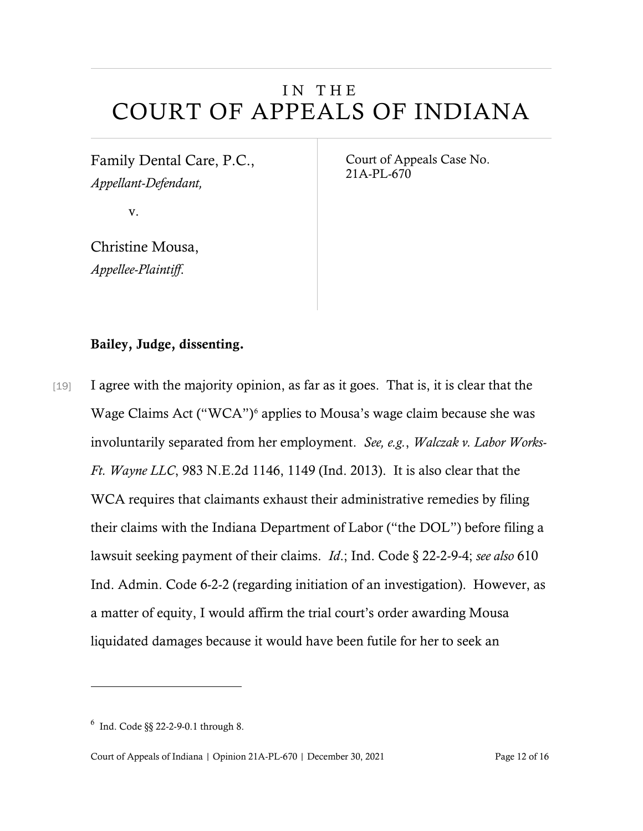# IN THE COURT OF APPEALS OF INDIANA

Family Dental Care, P.C., *Appellant-Defendant,*

v.

Christine Mousa, *Appellee-Plaintiff*.

Court of Appeals Case No. 21A-PL-670

### Bailey, Judge, dissenting.

[19] I agree with the majority opinion, as far as it goes. That is, it is clear that the Wage Claims Act ("WCA")<sup>[6](#page-11-0)</sup> applies to Mousa's wage claim because she was involuntarily separated from her employment. *See, e.g.*, *Walczak v. Labor Works-Ft. Wayne LLC*, 983 N.E.2d 1146, 1149 (Ind. 2013). It is also clear that the WCA requires that claimants exhaust their administrative remedies by filing their claims with the Indiana Department of Labor ("the DOL") before filing a lawsuit seeking payment of their claims. *Id*.; Ind. Code § 22-2-9-4; *see also* 610 Ind. Admin. Code 6-2-2 (regarding initiation of an investigation). However, as a matter of equity, I would affirm the trial court's order awarding Mousa liquidated damages because it would have been futile for her to seek an

<span id="page-11-0"></span><sup>6</sup> Ind. Code §§ 22-2-9-0.1 through 8.

Court of Appeals of Indiana | Opinion 21A-PL-670 | December 30, 2021 Page 12 of 16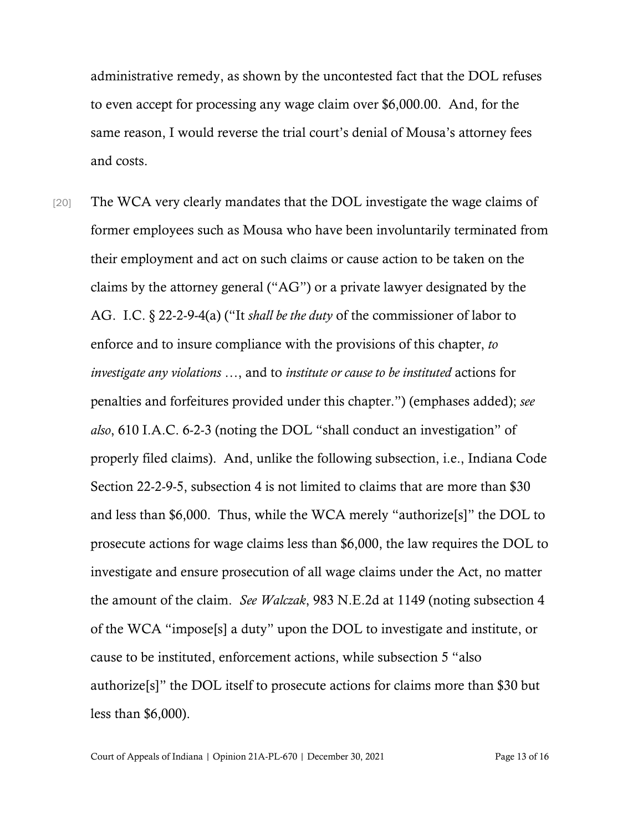administrative remedy, as shown by the uncontested fact that the DOL refuses to even accept for processing any wage claim over \$6,000.00. And, for the same reason, I would reverse the trial court's denial of Mousa's attorney fees and costs.

[20] The WCA very clearly mandates that the DOL investigate the wage claims of former employees such as Mousa who have been involuntarily terminated from their employment and act on such claims or cause action to be taken on the claims by the attorney general ("AG") or a private lawyer designated by the AG. I.C. § 22-2-9-4(a) ("It *shall be the duty* of the commissioner of labor to enforce and to insure compliance with the provisions of this chapter, *to investigate any violations* …, and to *institute or cause to be instituted* actions for penalties and forfeitures provided under this chapter.") (emphases added); *see also*, 610 I.A.C. 6-2-3 (noting the DOL "shall conduct an investigation" of properly filed claims). And, unlike the following subsection, i.e., Indiana Code Section 22-2-9-5, subsection 4 is not limited to claims that are more than \$30 and less than \$6,000. Thus, while the WCA merely "authorize[s]" the DOL to prosecute actions for wage claims less than \$6,000, the law requires the DOL to investigate and ensure prosecution of all wage claims under the Act, no matter the amount of the claim. *See Walczak*, 983 N.E.2d at 1149 (noting subsection 4 of the WCA "impose[s] a duty" upon the DOL to investigate and institute, or cause to be instituted, enforcement actions, while subsection 5 "also authorize[s]" the DOL itself to prosecute actions for claims more than \$30 but less than \$6,000).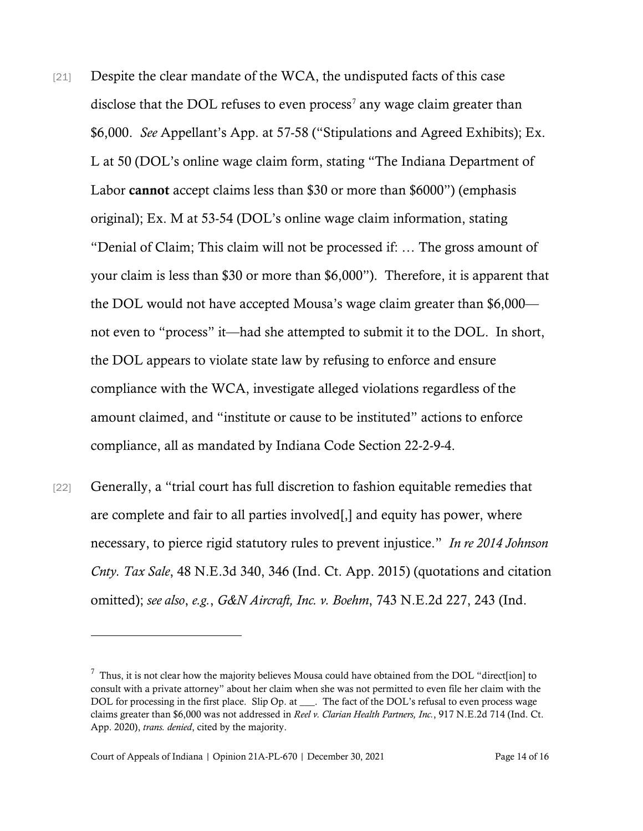- [21] Despite the clear mandate of the WCA, the undisputed facts of this case disclose that the DOL refuses to even process<sup>[7](#page-13-0)</sup> any wage claim greater than \$6,000. *See* Appellant's App. at 57-58 ("Stipulations and Agreed Exhibits); Ex. L at 50 (DOL's online wage claim form, stating "The Indiana Department of Labor cannot accept claims less than \$30 or more than \$6000") (emphasis original); Ex. M at 53-54 (DOL's online wage claim information, stating "Denial of Claim; This claim will not be processed if: … The gross amount of your claim is less than \$30 or more than \$6,000"). Therefore, it is apparent that the DOL would not have accepted Mousa's wage claim greater than \$6,000 not even to "process" it—had she attempted to submit it to the DOL. In short, the DOL appears to violate state law by refusing to enforce and ensure compliance with the WCA, investigate alleged violations regardless of the amount claimed, and "institute or cause to be instituted" actions to enforce compliance, all as mandated by Indiana Code Section 22-2-9-4.
- [22] Generally, a "trial court has full discretion to fashion equitable remedies that are complete and fair to all parties involved[,] and equity has power, where necessary, to pierce rigid statutory rules to prevent injustice." *In re 2014 Johnson Cnty. Tax Sale*, 48 N.E.3d 340, 346 (Ind. Ct. App. 2015) (quotations and citation omitted); *see also*, *e.g.*, *G&N Aircraft, Inc. v. Boehm*, 743 N.E.2d 227, 243 (Ind.

<span id="page-13-0"></span> $^7$  Thus, it is not clear how the majority believes Mousa could have obtained from the DOL "direct[ion] to consult with a private attorney" about her claim when she was not permitted to even file her claim with the DOL for processing in the first place. Slip Op. at \_\_\_. The fact of the DOL's refusal to even process wage claims greater than \$6,000 was not addressed in *Reel v. Clarian Health Partners, Inc.*, 917 N.E.2d 714 (Ind. Ct. App. 2020), *trans. denied*, cited by the majority.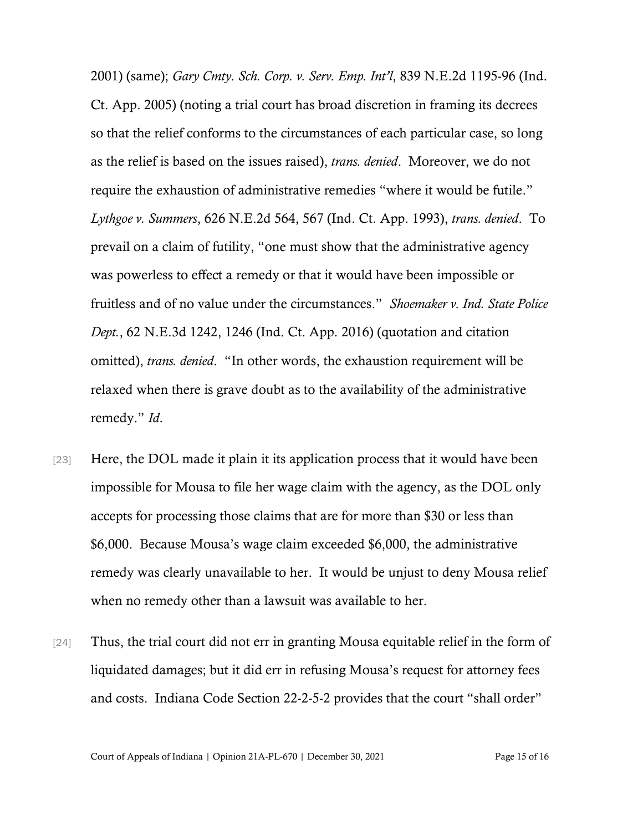2001) (same); *Gary Cmty. Sch. Corp. v. Serv. Emp. Int'l*, 839 N.E.2d 1195-96 (Ind. Ct. App. 2005) (noting a trial court has broad discretion in framing its decrees so that the relief conforms to the circumstances of each particular case, so long as the relief is based on the issues raised), *trans. denied*. Moreover, we do not require the exhaustion of administrative remedies "where it would be futile." *Lythgoe v. Summers*, 626 N.E.2d 564, 567 (Ind. Ct. App. 1993), *trans. denied*. To prevail on a claim of futility, "one must show that the administrative agency was powerless to effect a remedy or that it would have been impossible or fruitless and of no value under the circumstances." *Shoemaker v. Ind. State Police Dept.*, 62 N.E.3d 1242, 1246 (Ind. Ct. App. 2016) (quotation and citation omitted), *trans. denied*. "In other words, the exhaustion requirement will be relaxed when there is grave doubt as to the availability of the administrative remedy." *Id*.

- [23] Here, the DOL made it plain it its application process that it would have been impossible for Mousa to file her wage claim with the agency, as the DOL only accepts for processing those claims that are for more than \$30 or less than \$6,000. Because Mousa's wage claim exceeded \$6,000, the administrative remedy was clearly unavailable to her. It would be unjust to deny Mousa relief when no remedy other than a lawsuit was available to her.
- [24] Thus, the trial court did not err in granting Mousa equitable relief in the form of liquidated damages; but it did err in refusing Mousa's request for attorney fees and costs. Indiana Code Section 22-2-5-2 provides that the court "shall order"

Court of Appeals of Indiana | Opinion 21A-PL-670 | December 30, 2021 Page 15 of 16